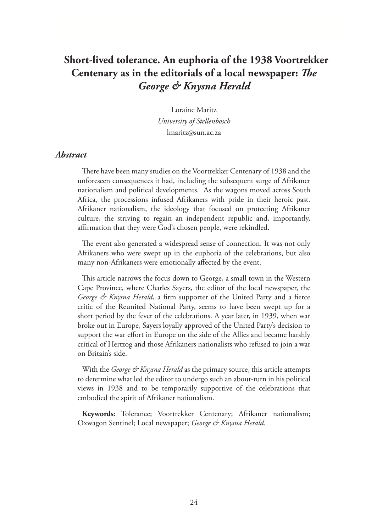# **Short-lived tolerance. An euphoria of the 1938 Voortrekker Centenary as in the editorials of a local newspaper:** *The George & Knysna Herald*

Loraine Maritz *University of Stellenbosch* lmaritz@sun.ac.za

#### *Abstract*

There have been many studies on the Voortrekker Centenary of 1938 and the unforeseen consequences it had, including the subsequent surge of Afrikaner nationalism and political developments. As the wagons moved across South Africa, the processions infused Afrikaners with pride in their heroic past. Afrikaner nationalism, the ideology that focused on protecting Afrikaner culture, the striving to regain an independent republic and, importantly, affirmation that they were God's chosen people, were rekindled.

The event also generated a widespread sense of connection. It was not only Afrikaners who were swept up in the euphoria of the celebrations, but also many non-Afrikaners were emotionally affected by the event.

This article narrows the focus down to George, a small town in the Western Cape Province, where Charles Sayers, the editor of the local newspaper, the *George & Knysna Herald*, a firm supporter of the United Party and a fierce critic of the Reunited National Party, seems to have been swept up for a short period by the fever of the celebrations. A year later, in 1939, when war broke out in Europe, Sayers loyally approved of the United Party's decision to support the war effort in Europe on the side of the Allies and became harshly critical of Hertzog and those Afrikaners nationalists who refused to join a war on Britain's side.

With the *George & Knysna Herald* as the primary source, this article attempts to determine what led the editor to undergo such an about-turn in his political views in 1938 and to be temporarily supportive of the celebrations that embodied the spirit of Afrikaner nationalism.

**Keywords**: Tolerance; Voortrekker Centenary; Afrikaner nationalism; Oxwagon Sentinel; Local newspaper; *George & Knysna Herald*.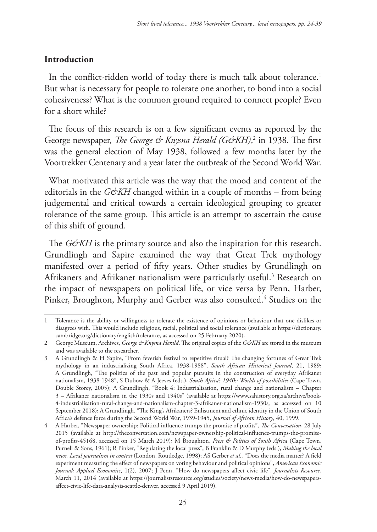# **Introduction**

In the conflict-ridden world of today there is much talk about tolerance.<sup>1</sup> But what is necessary for people to tolerate one another, to bond into a social cohesiveness? What is the common ground required to connect people? Even for a short while?

The focus of this research is on a few significant events as reported by the George newspaper, *The George & Knysna Herald (G&KH)*, 2 in 1938. The first was the general election of May 1938, followed a few months later by the Voortrekker Centenary and a year later the outbreak of the Second World War.

What motivated this article was the way that the mood and content of the editorials in the  $G\mathcal{O}KH$  changed within in a couple of months – from being judgemental and critical towards a certain ideological grouping to greater tolerance of the same group. This article is an attempt to ascertain the cause of this shift of ground.

The *G&KH* is the primary source and also the inspiration for this research. Grundlingh and Sapire examined the way that Great Trek mythology manifested over a period of fifty years. Other studies by Grundlingh on Afrikaners and Afrikaner nationalism were particularly useful.3 Research on the impact of newspapers on political life, or vice versa by Penn, Harber, Pinker, Broughton, Murphy and Gerber was also consulted.<sup>4</sup> Studies on the

<sup>1</sup> Tolerance is the ability or willingness to tolerate the existence of opinions or behaviour that one dislikes or disagrees with. This would include religious, racial, political and social tolerance (available at https://dictionary. cambridge.org/dictionary/english/tolerance, as accessed on 25 February 2020).

<sup>2</sup> George Museum, Archives, *George & Knysna Herald*. The original copies of the *G&KH* are stored in the museum and was available to the researcher.

<sup>3</sup> A Grundlingh & H Sapire, "From feverish festival to repetitive ritual? The changing fortunes of Great Trek mythology in an industrializing South Africa, 1938-1988", *South African Historical Journal*, 21, 1989; A Grundlingh, "The politics of the past and popular pursuits in the construction of everyday Afrikaner nationalism, 1938-1948", S Dubow & A Jeeves (eds.), *South Africa's 1940s: Worlds of possibilities* (Cape Town, Double Storey, 2005); A Grundlingh, "Book 4: Industrialisation, rural change and nationalism – Chapter 3 – Afrikaner nationalism in the 1930s and 1940s" (available at https://www.sahistory.org.za/archive/book-4-industrialisation-rural-change-and-nationalism-chapter-3-afrikaner-nationalism-1930s, as accessed on 10 September 2018); A Grundlingh, "The King's Afrikaners? Enlistment and ethnic identity in the Union of South Africa's defence force during the Second World War, 1939-1945, *Journal of African History*, 40, 1999.

<sup>4</sup> A Harber, "Newspaper ownership: Political influence trumps the promise of profits", *The Conversation*, 28 July 2015 (available at http://theconversation.com/newspaper-ownership-political-influence-trumps-the-promiseof-profits-45168, accessed on 15 March 2019); M Broughton, *Press & Politics of South Africa* (Cape Town, Purnell & Sons, 1961); R Pinker, "Regulating the local press", B Franklin & D Murphy (eds.), *Making the local news. Local journalism in context* (London, Routledge, 1998); AS Gerber *et al.,* "Does the media matter? A field experiment measuring the effect of newspapers on voting behaviour and political opinions", *American Economic Journal: Applied Economics*, 1(2), 2007; J Penn, "How do newspapers affect civic life", *Journalists Resource*, March 11, 2014 (available at https://journalistsresource.org/studies/society/news-media/how-do-newspapersaffect-civic-life-data-analysis-seattle-denver, accessed 9 April 2019).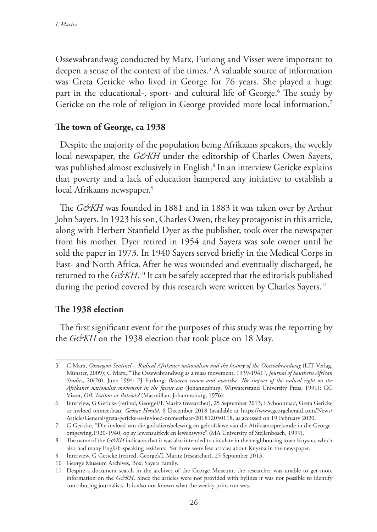Ossewabrandwag conducted by Marx, Furlong and Visser were important to deepen a sense of the context of the times.5 A valuable source of information was Greta Gericke who lived in George for 76 years. She played a huge part in the educational-, sport- and cultural life of George.6 The study by Gericke on the role of religion in George provided more local information.<sup>7</sup>

#### **The town of George, ca 1938**

Despite the majority of the population being Afrikaans speakers, the weekly local newspaper, the *G&KH* under the editorship of Charles Owen Sayers, was published almost exclusively in English.8 In an interview Gericke explains that poverty and a lack of education hampered any initiative to establish a local Afrikaans newspaper.<sup>9</sup>

The *G&KH* was founded in 1881 and in 1883 it was taken over by Arthur John Sayers. In 1923 his son, Charles Owen, the key protagonist in this article, along with Herbert Stanfield Dyer as the publisher, took over the newspaper from his mother. Dyer retired in 1954 and Sayers was sole owner until he sold the paper in 1973. In 1940 Sayers served briefly in the Medical Corps in East- and North Africa.After he was wounded and eventually discharged, he returned to the *G&KH*.<sup>10</sup> It can be safely accepted that the editorials published during the period covered by this research were written by Charles Sayers.<sup>11</sup>

# **The 1938 election**

The first significant event for the purposes of this study was the reporting by the *G&KH* on the 1938 election that took place on 18 May.

<sup>5</sup> C Marx, *Oxwagon Sentinel – Radical Afrikaner nationalism and the history of the Ossewabrandwag* (LIT Verlag, Münster, 2009); C Marx, "The Ossewabrandwag as a mass movement, 1939-1941", *Journal of Southern African Studies*, 20(20), June 1994; PJ Furlong, *Between crown and swastika. The impact of the radical right on the Afrikaner nationalist movement in the fascist era* (Johannesburg, Witwatersrand University Press, 1991); GC Visser, *OB: Traitors or Patriots?* (Macmillan, Johannesburg, 1976).

<sup>6</sup> Interview, G Gericke (retired, George)/L Maritz (researcher), 25 September 2013; I Schoonraad, Greta Gericke se invloed onmeetbaar, *George Herald*, 6 December 2018 (available at https://www.georgeherald.com/News/ Article/General/greta-gericke-se-invloed-onmeetbaar-201812050118, as accessed on 19 February 2020.

<sup>7</sup> G Gericke, "Die invloed van die godsdiensbelewing en geloofslewe van die Afrikaanssprekende in die Georgeomgewing,1920-1940, op sy lewensuitkyk en lewenswyse" (MA University of Stellenbosch, 1999).

<sup>8</sup> The name of the *G&KH* indicates that it was also intended to circulate in the neighbouring town Knysna, which also had many English-speaking residents. Yet there were few articles about Knysna in the newspaper.

<sup>9</sup> Interview, G Gericke (retired, George)/L Maritz (researcher), 25 September 2013.

<sup>10</sup> George Museum Archives, Box: Sayers Family.

<sup>11</sup> Despite a document search in the archives of the George Museum, the researcher was unable to get more information on the *G&KH*. Since the articles were not provided with bylines it was not possible to identify contributing journalists. It is also not known what the weekly print run was.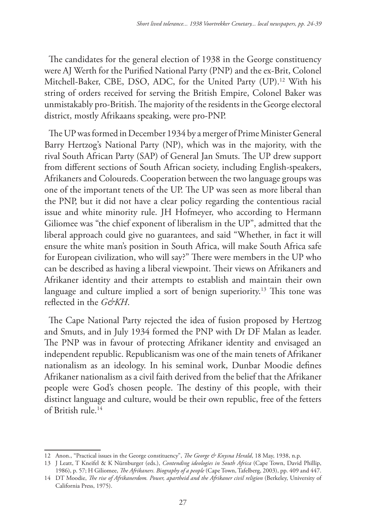The candidates for the general election of 1938 in the George constituency were AJ Werth for the Purified National Party (PNP) and the ex-Brit, Colonel Mitchell-Baker, CBE, DSO, ADC, for the United Party (UP).<sup>12</sup> With his string of orders received for serving the British Empire, Colonel Baker was unmistakably pro-British. The majority of the residents in the George electoral district, mostly Afrikaans speaking, were pro-PNP.

The UP was formed in December 1934 by a merger of Prime Minister General Barry Hertzog's National Party (NP), which was in the majority, with the rival South African Party (SAP) of General Jan Smuts. The UP drew support from different sections of South African society, including English-speakers, Afrikaners and Coloureds. Cooperation between the two language groups was one of the important tenets of the UP. The UP was seen as more liberal than the PNP, but it did not have a clear policy regarding the contentious racial issue and white minority rule. JH Hofmeyer, who according to Hermann Giliomee was "the chief exponent of liberalism in the UP", admitted that the liberal approach could give no guarantees, and said "Whether, in fact it will ensure the white man's position in South Africa, will make South Africa safe for European civilization, who will say?" There were members in the UP who can be described as having a liberal viewpoint. Their views on Afrikaners and Afrikaner identity and their attempts to establish and maintain their own language and culture implied a sort of benign superiority.<sup>13</sup> This tone was reflected in the *G&KH*.

The Cape National Party rejected the idea of fusion proposed by Hertzog and Smuts, and in July 1934 formed the PNP with Dr DF Malan as leader. The PNP was in favour of protecting Afrikaner identity and envisaged an independent republic. Republicanism was one of the main tenets of Afrikaner nationalism as an ideology. In his seminal work, Dunbar Moodie defines Afrikaner nationalism as a civil faith derived from the belief that the Afrikaner people were God's chosen people. The destiny of this people, with their distinct language and culture, would be their own republic, free of the fetters of British rule.14

<sup>12</sup> Anon., "Practical issues in the George constituency", *The George & Knysna Herald*, 18 May, 1938, n.p.

<sup>13</sup> J Leatt, T Kneifel & K Nürnburger (eds.), *Contending ideologies in South Africa* (Cape Town, David Phillip, 1986), p. 57; H Giliomee, *The Afrikaners. Biography of a people* (Cape Town, Tafelberg, 2003), pp. 409 and 447.

<sup>14</sup> DT Moodie, *The rise of Afrikanerdom. Power, apartheid and the Afrikaner civil religion* (Berkeley, University of California Press, 1975).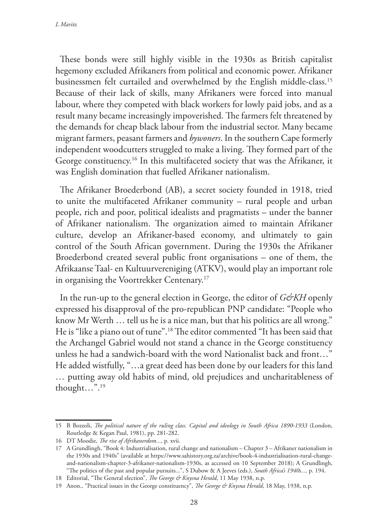These bonds were still highly visible in the 1930s as British capitalist hegemony excluded Afrikaners from political and economic power. Afrikaner businessmen felt curtailed and overwhelmed by the English middle-class.15 Because of their lack of skills, many Afrikaners were forced into manual labour, where they competed with black workers for lowly paid jobs, and as a result many became increasingly impoverished. The farmers felt threatened by the demands for cheap black labour from the industrial sector. Many became migrant farmers, peasant farmers and *bywoners*. In the southern Cape formerly independent woodcutters struggled to make a living. They formed part of the George constituency.16 In this multifaceted society that was the Afrikaner, it was English domination that fuelled Afrikaner nationalism.

The Afrikaner Broederbond (AB), a secret society founded in 1918, tried to unite the multifaceted Afrikaner community – rural people and urban people, rich and poor, political idealists and pragmatists – under the banner of Afrikaner nationalism. The organization aimed to maintain Afrikaner culture, develop an Afrikaner-based economy, and ultimately to gain control of the South African government. During the 1930s the Afrikaner Broederbond created several public front organisations – one of them, the Afrikaanse Taal- en Kultuurvereniging (ATKV), would play an important role in organising the Voortrekker Centenary.17

In the run-up to the general election in George, the editor of *G&KH* openly expressed his disapproval of the pro-republican PNP candidate: "People who know Mr Werth … tell us he is a nice man, but that his politics are all wrong." He is "like a piano out of tune".18 The editor commented "It has been said that the Archangel Gabriel would not stand a chance in the George constituency unless he had a sandwich-board with the word Nationalist back and front…" He added wistfully, "…a great deed has been done by our leaders for this land … putting away old habits of mind, old prejudices and uncharitableness of thought…".19

<sup>15</sup> B Bozzoli, *The political nature of the ruling class. Capital and ideology in South Africa 1890-1933* (London, Routledge & Kegan Paul, 1981), pp. 281-282.

<sup>16</sup> DT Moodie, *The rise of Afrikanerdom...*, p. xvii.

<sup>17</sup> A Grundlingh, "Book 4: Industrialisation, rural change and nationalism – Chapter 3 – Afrikaner nationalism in the 1930s and 1940s" (available at https://www.sahistory.org.za/archive/book-4-industrialisation-rural-changeand-nationalism-chapter-3-afrikaner-nationalism-1930s, as accessed on 10 September 2018); A Grundlingh, "The politics of the past and popular pursuits...", S Dubow & A Jeeves (eds.), *South Africa's 1940s...,* p. 194.

<sup>18</sup> Editorial, "The General election", *The George & Knysna Herald*, 11 May 1938, n.p.

<sup>19</sup> Anon., "Practical issues in the George constituency", *The George & Knysna Herald*, 18 May, 1938, n.p.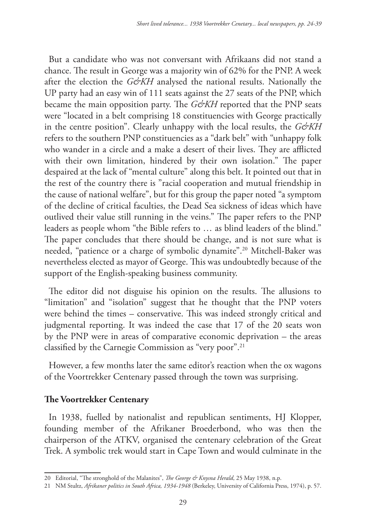But a candidate who was not conversant with Afrikaans did not stand a chance. The result in George was a majority win of 62% for the PNP. A week after the election the *G&KH* analysed the national results. Nationally the UP party had an easy win of 111 seats against the 27 seats of the PNP, which became the main opposition party. The *G&KH* reported that the PNP seats were "located in a belt comprising 18 constituencies with George practically in the centre position". Clearly unhappy with the local results, the *G&KH* refers to the southern PNP constituencies as a "dark belt" with "unhappy folk who wander in a circle and a make a desert of their lives. They are afflicted with their own limitation, hindered by their own isolation." The paper despaired at the lack of "mental culture" along this belt. It pointed out that in the rest of the country there is "racial cooperation and mutual friendship in the cause of national welfare", but for this group the paper noted "a symptom of the decline of critical faculties, the Dead Sea sickness of ideas which have outlived their value still running in the veins." The paper refers to the PNP leaders as people whom "the Bible refers to … as blind leaders of the blind." The paper concludes that there should be change, and is not sure what is needed, "patience or a charge of symbolic dynamite".20 Mitchell-Baker was nevertheless elected as mayor of George. This was undoubtedly because of the support of the English-speaking business community.

The editor did not disguise his opinion on the results. The allusions to "limitation" and "isolation" suggest that he thought that the PNP voters were behind the times – conservative. This was indeed strongly critical and judgmental reporting. It was indeed the case that 17 of the 20 seats won by the PNP were in areas of comparative economic deprivation – the areas classified by the Carnegie Commission as "very poor".21

However, a few months later the same editor's reaction when the ox wagons of the Voortrekker Centenary passed through the town was surprising.

#### **The Voortrekker Centenary**

In 1938, fuelled by nationalist and republican sentiments, HJ Klopper, founding member of the Afrikaner Broederbond, who was then the chairperson of the ATKV, organised the centenary celebration of the Great Trek. A symbolic trek would start in Cape Town and would culminate in the

<sup>20</sup> Editorial, "The stronghold of the Malanites", *The George & Knysna Herald*, 25 May 1938, n.p.

<sup>21</sup> NM Stultz, *Afrikaner politics in South Africa, 1934-1948* (Berkeley, University of California Press, 1974), p. 57.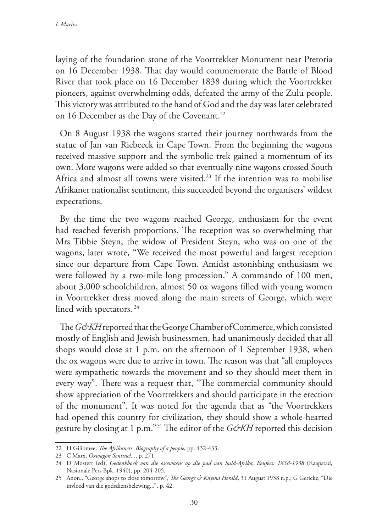laying of the foundation stone of the Voortrekker Monument near Pretoria on 16 December 1938. That day would commemorate the Battle of Blood River that took place on 16 December 1838 during which the Voortrekker pioneers, against overwhelming odds, defeated the army of the Zulu people. This victory was attributed to the hand of God and the day was later celebrated on 16 December as the Day of the Covenant.<sup>22</sup>

On 8 August 1938 the wagons started their journey northwards from the statue of Jan van Riebeeck in Cape Town. From the beginning the wagons received massive support and the symbolic trek gained a momentum of its own. More wagons were added so that eventually nine wagons crossed South Africa and almost all towns were visited.<sup>23</sup> If the intention was to mobilise Afrikaner nationalist sentiment, this succeeded beyond the organisers' wildest expectations.

By the time the two wagons reached George, enthusiasm for the event had reached feverish proportions. The reception was so overwhelming that Mrs Tibbie Steyn, the widow of President Steyn, who was on one of the wagons, later wrote, "We received the most powerful and largest reception since our departure from Cape Town. Amidst astonishing enthusiasm we were followed by a two-mile long procession." A commando of 100 men, about 3,000 schoolchildren, almost 50 ox wagons filled with young women in Voortrekker dress moved along the main streets of George, which were lined with spectators. 24

The *G&KH* reported that the George Chamber of Commerce, which consisted mostly of English and Jewish businessmen, had unanimously decided that all shops would close at 1 p.m. on the afternoon of 1 September 1938, when the ox wagons were due to arrive in town. The reason was that "all employees were sympathetic towards the movement and so they should meet them in every way". There was a request that, "The commercial community should show appreciation of the Voortrekkers and should participate in the erection of the monument". It was noted for the agenda that as "the Voortrekkers had opened this country for civilization, they should show a whole-hearted gesture by closing at 1 p.m."<sup>25</sup> The editor of the *G&KH* reported this decision

<sup>22</sup> H Giliomee, *The Afrikaners. Biography of a people*, pp. 432-433.

<sup>23</sup> C Marx, *Oxwagon Sentinel...*, p. 271.

<sup>24</sup> D Mostert (ed), *Gedenkboek van die ossewaens op die pad van Suid-Afrika, Eeufees: 1838-1938* (Kaapstad, Nasionale Pers Bpk, 1940), pp. 204-205.

<sup>25</sup> Anon., "George shops to close tomorrow", *The George & Knysna Herald*, 31 August 1938 n.p.; G Gericke, "Die invloed van die godsdiensbelewing...", p. 42.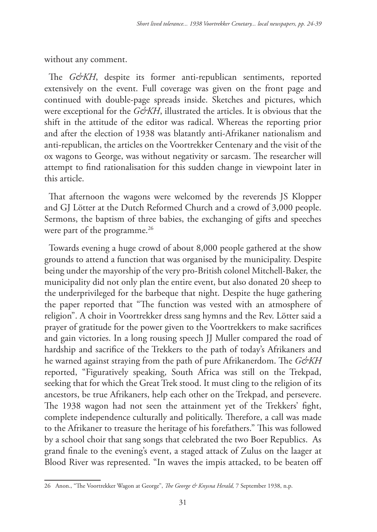without any comment.

The *G&KH*, despite its former anti-republican sentiments, reported extensively on the event. Full coverage was given on the front page and continued with double-page spreads inside. Sketches and pictures, which were exceptional for the *G&KH*, illustrated the articles. It is obvious that the shift in the attitude of the editor was radical. Whereas the reporting prior and after the election of 1938 was blatantly anti-Afrikaner nationalism and anti-republican, the articles on the Voortrekker Centenary and the visit of the ox wagons to George, was without negativity or sarcasm. The researcher will attempt to find rationalisation for this sudden change in viewpoint later in this article.

That afternoon the wagons were welcomed by the reverends JS Klopper and GJ Lötter at the Dutch Reformed Church and a crowd of 3,000 people. Sermons, the baptism of three babies, the exchanging of gifts and speeches were part of the programme.<sup>26</sup>

Towards evening a huge crowd of about 8,000 people gathered at the show grounds to attend a function that was organised by the municipality. Despite being under the mayorship of the very pro-British colonel Mitchell-Baker, the municipality did not only plan the entire event, but also donated 20 sheep to the underprivileged for the barbeque that night. Despite the huge gathering the paper reported that "The function was vested with an atmosphere of religion". A choir in Voortrekker dress sang hymns and the Rev. Lötter said a prayer of gratitude for the power given to the Voortrekkers to make sacrifices and gain victories. In a long rousing speech JJ Muller compared the road of hardship and sacrifice of the Trekkers to the path of today's Afrikaners and he warned against straying from the path of pure Afrikanerdom. The *G&KH* reported, "Figuratively speaking, South Africa was still on the Trekpad, seeking that for which the Great Trek stood. It must cling to the religion of its ancestors, be true Afrikaners, help each other on the Trekpad, and persevere. The 1938 wagon had not seen the attainment yet of the Trekkers' fight, complete independence culturally and politically. Therefore, a call was made to the Afrikaner to treasure the heritage of his forefathers." This was followed by a school choir that sang songs that celebrated the two Boer Republics. As grand finale to the evening's event, a staged attack of Zulus on the laager at Blood River was represented. "In waves the impis attacked, to be beaten off

<sup>26</sup> Anon., "The Voortrekker Wagon at George", *The George & Knysna Herald,* 7 September 1938, n.p.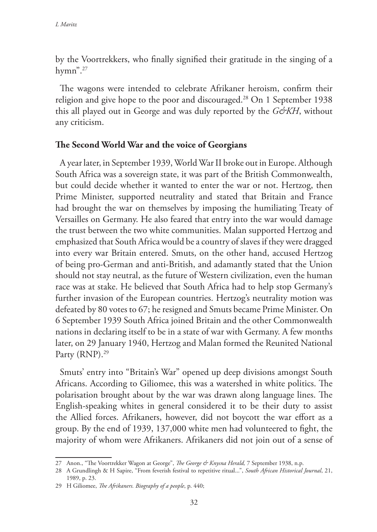by the Voortrekkers, who finally signified their gratitude in the singing of a hymn". $27$ 

The wagons were intended to celebrate Afrikaner heroism, confirm their religion and give hope to the poor and discouraged.28 On 1 September 1938 this all played out in George and was duly reported by the *G&KH*, without any criticism.

#### **The Second World War and the voice of Georgians**

A year later, in September 1939, World War II broke out in Europe. Although South Africa was a sovereign state, it was part of the British Commonwealth, but could decide whether it wanted to enter the war or not. Hertzog, then Prime Minister, supported neutrality and stated that Britain and France had brought the war on themselves by imposing the humiliating Treaty of Versailles on Germany. He also feared that entry into the war would damage the trust between the two white communities. Malan supported Hertzog and emphasized that South Africa would be a country of slaves if they were dragged into every war Britain entered. Smuts, on the other hand, accused Hertzog of being pro-German and anti-British, and adamantly stated that the Union should not stay neutral, as the future of Western civilization, even the human race was at stake. He believed that South Africa had to help stop Germany's further invasion of the European countries. Hertzog's neutrality motion was defeated by 80 votes to 67; he resigned and Smuts became Prime Minister. On 6 September 1939 South Africa joined Britain and the other Commonwealth nations in declaring itself to be in a state of war with Germany. A few months later, on 29 January 1940, Hertzog and Malan formed the Reunited National Party (RNP).<sup>29</sup>

Smuts' entry into "Britain's War" opened up deep divisions amongst South Africans. According to Giliomee, this was a watershed in white politics. The polarisation brought about by the war was drawn along language lines. The English-speaking whites in general considered it to be their duty to assist the Allied forces. Afrikaners, however, did not boycott the war effort as a group. By the end of 1939, 137,000 white men had volunteered to fight, the majority of whom were Afrikaners. Afrikaners did not join out of a sense of

<sup>27</sup> Anon., "The Voortrekker Wagon at George", *The George & Knysna Herald*, 7 September 1938, n.p.

<sup>28</sup> A Grundlingh & H Sapire, "From feverish festival to repetitive ritual...", *South African Historical Journal*, 21, 1989, p. 23.

<sup>29</sup> H Giliomee, *The Afrikaners. Biography of a people*, p. 440;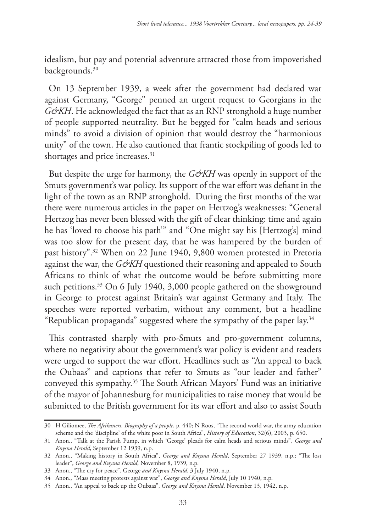idealism, but pay and potential adventure attracted those from impoverished backgrounds.<sup>30</sup>

On 13 September 1939, a week after the government had declared war against Germany, "George" penned an urgent request to Georgians in the *G&KH*. He acknowledged the fact that as an RNP stronghold a huge number of people supported neutrality. But he begged for "calm heads and serious minds" to avoid a division of opinion that would destroy the "harmonious unity" of the town. He also cautioned that frantic stockpiling of goods led to shortages and price increases.<sup>31</sup>

But despite the urge for harmony, the *G&KH* was openly in support of the Smuts government's war policy. Its support of the war effort was defiant in the light of the town as an RNP stronghold. During the first months of the war there were numerous articles in the paper on Hertzog's weaknesses: "General Hertzog has never been blessed with the gift of clear thinking: time and again he has 'loved to choose his path'" and "One might say his [Hertzog's] mind was too slow for the present day, that he was hampered by the burden of past history".32 When on 22 June 1940, 9,800 women protested in Pretoria against the war, the *G&KH* questioned their reasoning and appealed to South Africans to think of what the outcome would be before submitting more such petitions.<sup>33</sup> On 6 July 1940, 3,000 people gathered on the showground in George to protest against Britain's war against Germany and Italy. The speeches were reported verbatim, without any comment, but a headline "Republican propaganda" suggested where the sympathy of the paper lay.34

This contrasted sharply with pro-Smuts and pro-government columns, where no negativity about the government's war policy is evident and readers were urged to support the war effort. Headlines such as "An appeal to back the Oubaas" and captions that refer to Smuts as "our leader and father" conveyed this sympathy.35 The South African Mayors' Fund was an initiative of the mayor of Johannesburg for municipalities to raise money that would be submitted to the British government for its war effort and also to assist South

<sup>30</sup> H Giliomee, *The Afrikaners. Biography of a people*, p. 440; N Roos, "The second world war, the army education scheme and the 'discipline' of the white poor in South Africa", *History of Education*, 32(6), 2003, p. 650.

<sup>31</sup> Anon., "Talk at the Parish Pump, in which 'George' pleads for calm heads and serious minds", *George and Knysna Herald*, September 12 1939, n.p.

<sup>32</sup> Anon., "Making history in South Africa", *George and Knysna Herald*, September 27 1939, n.p.; "The lost leader", *George and Knysna Herald*, November 8, 1939, n.p.

<sup>33</sup> Anon., "The cry for peace", George *and Knysna Herald*, 3 July 1940, n.p.

<sup>34</sup> Anon., "Mass meeting protests against war", *George and Knysna Herald*, July 10 1940, n.p.

<sup>35</sup> Anon., "An appeal to back up the Oubaas", *George and Knysna Herald*, November 13, 1942, n.p.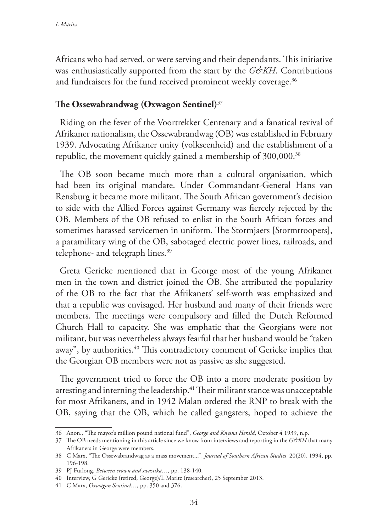Africans who had served, or were serving and their dependants. This initiative was enthusiastically supported from the start by the *G&KH*. Contributions and fundraisers for the fund received prominent weekly coverage.<sup>36</sup>

### **The Ossewabrandwag (Oxwagon Sentinel)**<sup>37</sup>

Riding on the fever of the Voortrekker Centenary and a fanatical revival of Afrikaner nationalism, the Ossewabrandwag (OB) was established in February 1939. Advocating Afrikaner unity (volkseenheid) and the establishment of a republic, the movement quickly gained a membership of 300,000.<sup>38</sup>

The OB soon became much more than a cultural organisation, which had been its original mandate. Under Commandant-General Hans van Rensburg it became more militant. The South African government's decision to side with the Allied Forces against Germany was fiercely rejected by the OB. Members of the OB refused to enlist in the South African forces and sometimes harassed servicemen in uniform. The Stormjaers [Stormtroopers], a paramilitary wing of the OB, sabotaged electric power lines, railroads, and telephone- and telegraph lines.<sup>39</sup>

Greta Gericke mentioned that in George most of the young Afrikaner men in the town and district joined the OB. She attributed the popularity of the OB to the fact that the Afrikaners' self-worth was emphasized and that a republic was envisaged. Her husband and many of their friends were members. The meetings were compulsory and filled the Dutch Reformed Church Hall to capacity. She was emphatic that the Georgians were not militant, but was nevertheless always fearful that her husband would be "taken away", by authorities.<sup>40</sup> This contradictory comment of Gericke implies that the Georgian OB members were not as passive as she suggested.

The government tried to force the OB into a more moderate position by arresting and interning the leadership.<sup>41</sup> Their militant stance was unacceptable for most Afrikaners, and in 1942 Malan ordered the RNP to break with the OB, saying that the OB, which he called gangsters, hoped to achieve the

<sup>36</sup> Anon., "The mayor's million pound national fund", *George and Knysna Herald*, October 4 1939, n.p.

<sup>37</sup> The OB needs mentioning in this article since we know from interviews and reporting in the *G&KH* that many Afrikaners in George were members.

<sup>38</sup> C Marx, "The Ossewabrandwag as a mass movement...", *Journal of Southern African Studies*, 20(20), 1994, pp. 196-198.

<sup>39</sup> PJ Furlong, *Between crown and swastika…,* pp. 138-140.

<sup>40</sup> Interview, G Gericke (retired, George)/L Maritz (researcher), 25 September 2013.

<sup>41</sup> C Marx, *Oxwagon Sentinel…,* pp. 350 and 376.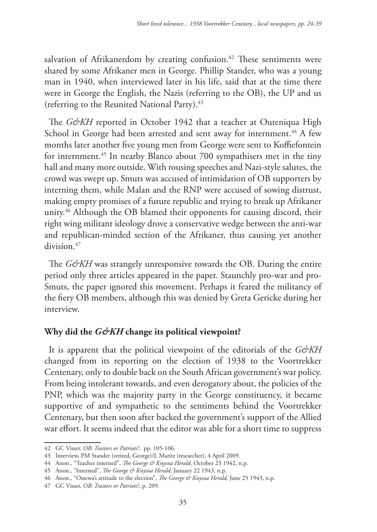salvation of Afrikanerdom by creating confusion.<sup>42</sup> These sentiments were shared by some Afrikaner men in George. Phillip Stander, who was a young man in 1940, when interviewed later in his life, said that at the time there were in George the English, the Nazis (referring to the OB), the UP and us (referring to the Reunited National Party).<sup>43</sup>

The *G&KH* reported in October 1942 that a teacher at Outeniqua High School in George had been arrested and sent away for internment.<sup>44</sup> A few months later another five young men from George were sent to Koffiefontein for internment.45 In nearby Blanco about 700 sympathisers met in the tiny hall and many more outside. With rousing speeches and Nazi-style salutes, the crowd was swept up. Smuts was accused of intimidation of OB supporters by interning them, while Malan and the RNP were accused of sowing distrust, making empty promises of a future republic and trying to break up Afrikaner unity.<sup>46</sup> Although the OB blamed their opponents for causing discord, their right wing militant ideology drove a conservative wedge between the anti-war and republican-minded section of the Afrikaner, thus causing yet another division.<sup>47</sup>

The *G&KH* was strangely unresponsive towards the OB. During the entire period only three articles appeared in the paper. Staunchly pro-war and pro-Smuts, the paper ignored this movement. Perhaps it feared the militancy of the fiery OB members, although this was denied by Greta Gericke during her interview.

# **Why did the** *G&KH* **change its political viewpoint?**

It is apparent that the political viewpoint of the editorials of the *G&KH* changed from its reporting on the election of 1938 to the Voortrekker Centenary, only to double back on the South African government's war policy. From being intolerant towards, and even derogatory about, the policies of the PNP, which was the majority party in the George constituency, it became supportive of and sympathetic to the sentiments behind the Voortrekker Centenary, but then soon after backed the government's support of the Allied war effort. It seems indeed that the editor was able for a short time to suppress

<sup>42</sup> GC Visser, *OB: Traitors or Patriots?,* pp. 105-106.

<sup>43</sup> Interview, PM Stander (retired, George)/L Maritz (researcher), 4 April 2009.

<sup>44</sup> Anon., "Teacher interned", *The George & Knysna Herald*, October 23 1942, n.p.

<sup>45</sup> Anon., "Interned", *The George & Knysna Herald*, January 22 1943, n.p.

<sup>46</sup> Anon., "Ossewa's attitude to the election", *The George & Knysna Herald,* June 25 1943, n.p.

<sup>47</sup> GC Visser, *OB: Traitors or Patriots?*, p. 209.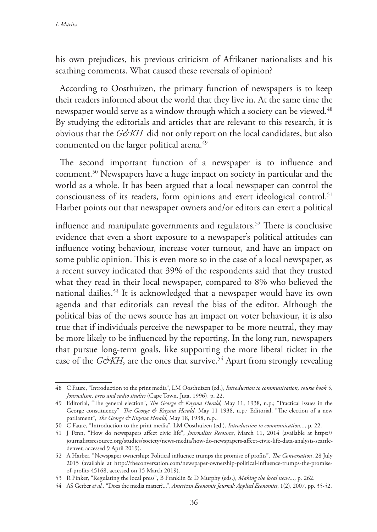his own prejudices, his previous criticism of Afrikaner nationalists and his scathing comments. What caused these reversals of opinion?

According to Oosthuizen, the primary function of newspapers is to keep their readers informed about the world that they live in. At the same time the newspaper would serve as a window through which a society can be viewed.<sup>48</sup> By studying the editorials and articles that are relevant to this research, it is obvious that the *G&KH* did not only report on the local candidates, but also commented on the larger political arena.<sup>49</sup>

The second important function of a newspaper is to influence and comment.50 Newspapers have a huge impact on society in particular and the world as a whole. It has been argued that a local newspaper can control the consciousness of its readers, form opinions and exert ideological control.<sup>51</sup> Harber points out that newspaper owners and/or editors can exert a political

influence and manipulate governments and regulators.<sup>52</sup> There is conclusive evidence that even a short exposure to a newspaper's political attitudes can influence voting behaviour, increase voter turnout, and have an impact on some public opinion. This is even more so in the case of a local newspaper, as a recent survey indicated that 39% of the respondents said that they trusted what they read in their local newspaper, compared to 8% who believed the national dailies.53 It is acknowledged that a newspaper would have its own agenda and that editorials can reveal the bias of the editor. Although the political bias of the news source has an impact on voter behaviour, it is also true that if individuals perceive the newspaper to be more neutral, they may be more likely to be influenced by the reporting. In the long run, newspapers that pursue long-term goals, like supporting the more liberal ticket in the case of the *G&KH*, are the ones that survive.<sup>54</sup> Apart from strongly revealing

<sup>48</sup> C Faure, "Introduction to the print media", LM Oosthuizen (ed.), *Introduction to communication, course book 5, Journalism, press and radio studies* (Cape Town, Juta, 1996), p. 22.

<sup>49</sup> Editorial, "The general election", *The George & Knysna Herald,* May 11, 1938, n.p.; "Practical issues in the George constituency", *The George & Knysna Herald*, May 11 1938, n.p.; Editorial, "The election of a new parliament", *The George & Knysna Herald,* May 18, 1938, n.p..

<sup>50</sup> C Faure, "Introduction to the print media", LM Oosthuizen (ed.), *Introduction to communication...*, p. 22.

<sup>51</sup> J Penn, "How do newspapers affect civic life", *Journalists Resource*, March 11, 2014 (available at https:// journalistsresource.org/studies/society/news-media/how-do-newspapers-affect-civic-life-data-analysis-seattledenver, accessed 9 April 2019).

<sup>52</sup> A Harber, "Newspaper ownership: Political influence trumps the promise of profits", *The Conversation*, 28 July 2015 (available at http://theconversation.com/newspaper-ownership-political-influence-trumps-the-promiseof-profits-45168, accessed on 15 March 2019).

<sup>53</sup> R Pinker, "Regulating the local press", B Franklin & D Murphy (eds.), *Making the local news...*, p. 262.

<sup>54</sup> AS Gerber *et al.,* "Does the media matter?...", *American Economic Journal: Applied Economics*, 1(2), 2007, pp. 35-52.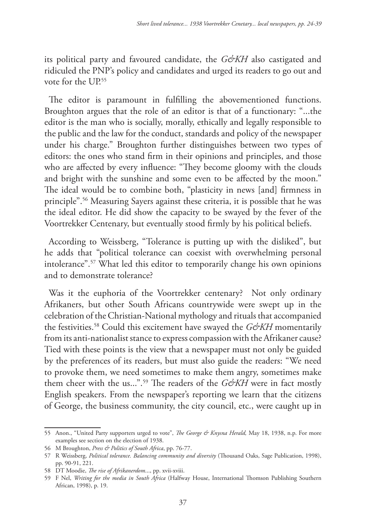its political party and favoured candidate, the *G&KH* also castigated and ridiculed the PNP's policy and candidates and urged its readers to go out and vote for the UP.55

The editor is paramount in fulfilling the abovementioned functions. Broughton argues that the role of an editor is that of a functionary: "...the editor is the man who is socially, morally, ethically and legally responsible to the public and the law for the conduct, standards and policy of the newspaper under his charge." Broughton further distinguishes between two types of editors: the ones who stand firm in their opinions and principles, and those who are affected by every influence: "They become gloomy with the clouds and bright with the sunshine and some even to be affected by the moon." The ideal would be to combine both, "plasticity in news [and] firmness in principle".56 Measuring Sayers against these criteria, it is possible that he was the ideal editor. He did show the capacity to be swayed by the fever of the Voortrekker Centenary, but eventually stood firmly by his political beliefs.

According to Weissberg, "Tolerance is putting up with the disliked", but he adds that "political tolerance can coexist with overwhelming personal intolerance".57 What led this editor to temporarily change his own opinions and to demonstrate tolerance?

Was it the euphoria of the Voortrekker centenary? Not only ordinary Afrikaners, but other South Africans countrywide were swept up in the celebration of the Christian-National mythology and rituals that accompanied the festivities.<sup>58</sup> Could this excitement have swayed the *G&KH* momentarily from its anti-nationalist stance to express compassion with the Afrikaner cause? Tied with these points is the view that a newspaper must not only be guided by the preferences of its readers, but must also guide the readers: "We need to provoke them, we need sometimes to make them angry, sometimes make them cheer with the us...".<sup>59</sup> The readers of the *G&KH* were in fact mostly English speakers. From the newspaper's reporting we learn that the citizens of George, the business community, the city council, etc., were caught up in

<sup>55</sup> Anon., "United Party supporters urged to vote", *The George & Knysna Herald,* May 18, 1938, n.p. For more examples see section on the election of 1938.

<sup>56</sup> M Broughton, *Press & Politics of South Africa*, pp. 76-77.

<sup>57</sup> R Weissberg, *Political tolerance. Balancing community and diversity* (Thousand Oaks, Sage Publication, 1998), pp. 90-91, 221.

<sup>58</sup> DT Moodie, *The rise of Afrikanerdom*..., pp. xvii-xviii.

<sup>59</sup> F Nel, *Writing for the media in South Africa* (Halfway House, International Thomson Publishing Southern African, 1998), p. 19.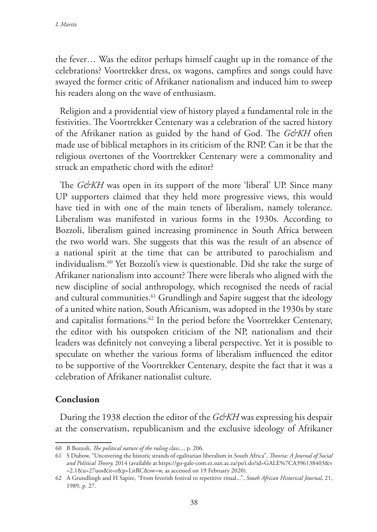the fever… Was the editor perhaps himself caught up in the romance of the celebrations? Voortrekker dress, ox wagons, campfires and songs could have swayed the former critic of Afrikaner nationalism and induced him to sweep his readers along on the wave of enthusiasm.

Religion and a providential view of history played a fundamental role in the festivities. The Voortrekker Centenary was a celebration of the sacred history of the Afrikaner nation as guided by the hand of God. The *G&KH* often made use of biblical metaphors in its criticism of the RNP. Can it be that the religious overtones of the Voortrekker Centenary were a commonality and struck an empathetic chord with the editor?

The *G&KH* was open in its support of the more 'liberal' UP. Since many UP supporters claimed that they held more progressive views, this would have tied in with one of the main tenets of liberalism, namely tolerance. Liberalism was manifested in various forms in the 1930s. According to Bozzoli, liberalism gained increasing prominence in South Africa between the two world wars. She suggests that this was the result of an absence of a national spirit at the time that can be attributed to parochialism and individualism.60 Yet Bozzoli's view is questionable. Did she take the surge of Afrikaner nationalism into account? There were liberals who aligned with the new discipline of social anthropology, which recognised the needs of racial and cultural communities.<sup>61</sup> Grundlingh and Sapire suggest that the ideology of a united white nation, South Africanism, was adopted in the 1930s by state and capitalist formations.<sup>62</sup> In the period before the Voortrekker Centenary, the editor with his outspoken criticism of the NP, nationalism and their leaders was definitely not conveying a liberal perspective. Yet it is possible to speculate on whether the various forms of liberalism influenced the editor to be supportive of the Voortrekker Centenary, despite the fact that it was a celebration of Afrikaner nationalist culture.

#### **Conclusion**

During the 1938 election the editor of the *G&KH* was expressing his despair at the conservatism, republicanism and the exclusive ideology of Afrikaner

<sup>60</sup> B Bozzoli, *The political nature of the ruling class*..., p. 206.

<sup>61</sup> S Dubow, "Uncovering the historic strands of egalitarian liberalism in South Africa", *Theoria: A Journal of Social and Political Theory,* 2014 (available at https://go-gale-com.ez.sun.ac.za/ps/i.do?id=GALE%7CA396138403&v =2.1&u=27uos&it=r&p=LitRC&sw=w, as accessed on 19 February 2020).

<sup>62</sup> A Grundlingh and H Sapire, "From feverish festival to repetitive ritual...", *South African Historical Journal*, 21, 1989, p. 27.